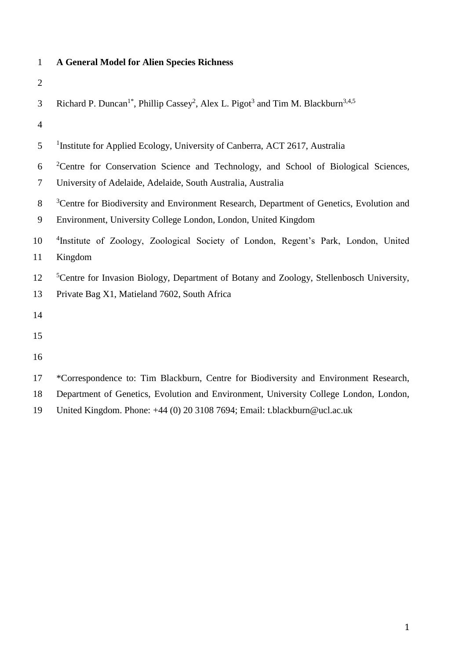|  |  |  | <b>A General Model for Alien Species Richness</b> |  |
|--|--|--|---------------------------------------------------|--|
|--|--|--|---------------------------------------------------|--|

| 3 Richard P. Duncan <sup>1*</sup> , Phillip Cassey <sup>2</sup> , Alex L. Pigot <sup>3</sup> and Tim M. Blackburn <sup>3,4,5</sup> |  |
|------------------------------------------------------------------------------------------------------------------------------------|--|
|------------------------------------------------------------------------------------------------------------------------------------|--|

<sup>1</sup>Institute for Applied Ecology, University of Canberra, ACT 2617, Australia

6 <sup>2</sup>Centre for Conservation Science and Technology, and School of Biological Sciences, University of Adelaide, Adelaide, South Australia, Australia

- <sup>3</sup> Centre for Biodiversity and Environment Research, Department of Genetics, Evolution and
- Environment, University College London, London, United Kingdom
- 10 <sup>4</sup>Institute of Zoology, Zoological Society of London, Regent's Park, London, United
- Kingdom
- <sup>5</sup> Centre for Invasion Biology, Department of Botany and Zoology, Stellenbosch University,
- Private Bag X1, Matieland 7602, South Africa
- 
- 
- 
- \*Correspondence to: Tim Blackburn, Centre for Biodiversity and Environment Research,
- Department of Genetics, Evolution and Environment, University College London, London,
- United Kingdom. Phone: +44 (0) 20 3108 7694; Email: t.blackburn@ucl.ac.uk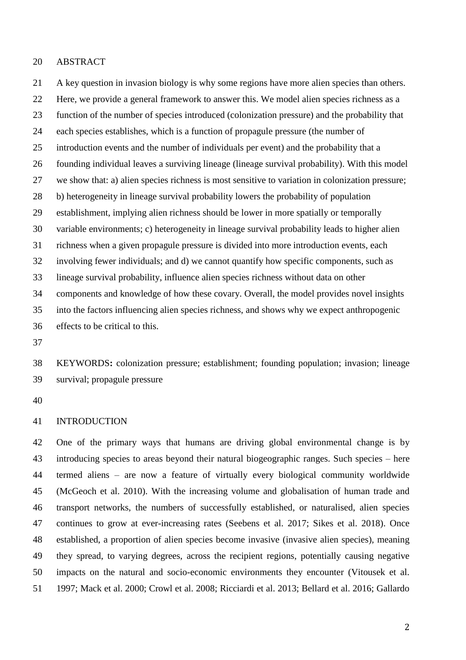### ABSTRACT

 A key question in invasion biology is why some regions have more alien species than others. Here, we provide a general framework to answer this. We model alien species richness as a function of the number of species introduced (colonization pressure) and the probability that each species establishes, which is a function of propagule pressure (the number of introduction events and the number of individuals per event) and the probability that a founding individual leaves a surviving lineage (lineage survival probability). With this model we show that: a) alien species richness is most sensitive to variation in colonization pressure; b) heterogeneity in lineage survival probability lowers the probability of population establishment, implying alien richness should be lower in more spatially or temporally variable environments; c) heterogeneity in lineage survival probability leads to higher alien richness when a given propagule pressure is divided into more introduction events, each involving fewer individuals; and d) we cannot quantify how specific components, such as lineage survival probability, influence alien species richness without data on other components and knowledge of how these covary. Overall, the model provides novel insights into the factors influencing alien species richness, and shows why we expect anthropogenic effects to be critical to this.

 KEYWORDS**:** colonization pressure; establishment; founding population; invasion; lineage survival; propagule pressure

### INTRODUCTION

 One of the primary ways that humans are driving global environmental change is by introducing species to areas beyond their natural biogeographic ranges. Such species – here termed aliens – are now a feature of virtually every biological community worldwide (McGeoch et al. 2010). With the increasing volume and globalisation of human trade and transport networks, the numbers of successfully established, or naturalised, alien species continues to grow at ever-increasing rates (Seebens et al. 2017; Sikes et al. 2018). Once established, a proportion of alien species become invasive (invasive alien species), meaning they spread, to varying degrees, across the recipient regions, potentially causing negative impacts on the natural and socio-economic environments they encounter (Vitousek et al. 1997; Mack et al. 2000; Crowl et al. 2008; Ricciardi et al. 2013; Bellard et al. 2016; Gallardo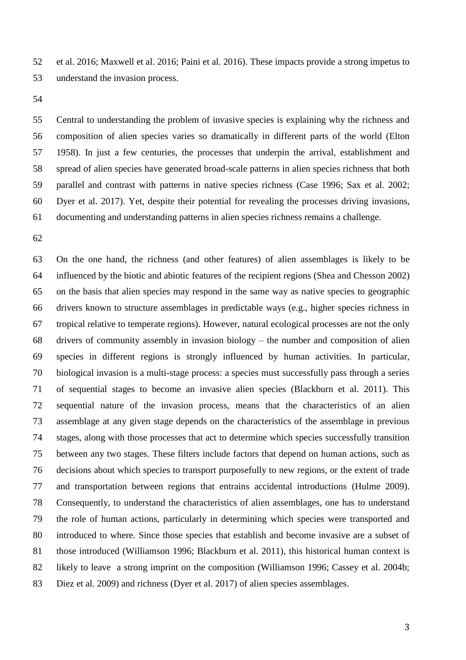et al. 2016; Maxwell et al. 2016; Paini et al. 2016). These impacts provide a strong impetus to understand the invasion process.

 Central to understanding the problem of invasive species is explaining why the richness and composition of alien species varies so dramatically in different parts of the world (Elton 1958). In just a few centuries, the processes that underpin the arrival, establishment and spread of alien species have generated broad-scale patterns in alien species richness that both parallel and contrast with patterns in native species richness (Case 1996; Sax et al. 2002; Dyer et al. 2017). Yet, despite their potential for revealing the processes driving invasions, documenting and understanding patterns in alien species richness remains a challenge.

 On the one hand, the richness (and other features) of alien assemblages is likely to be influenced by the biotic and abiotic features of the recipient regions (Shea and Chesson 2002) on the basis that alien species may respond in the same way as native species to geographic drivers known to structure assemblages in predictable ways (e.g., higher species richness in tropical relative to temperate regions). However, natural ecological processes are not the only drivers of community assembly in invasion biology – the number and composition of alien species in different regions is strongly influenced by human activities. In particular, biological invasion is a multi-stage process: a species must successfully pass through a series of sequential stages to become an invasive alien species (Blackburn et al. 2011). This sequential nature of the invasion process, means that the characteristics of an alien assemblage at any given stage depends on the characteristics of the assemblage in previous stages, along with those processes that act to determine which species successfully transition between any two stages. These filters include factors that depend on human actions, such as decisions about which species to transport purposefully to new regions, or the extent of trade and transportation between regions that entrains accidental introductions (Hulme 2009). Consequently, to understand the characteristics of alien assemblages, one has to understand the role of human actions, particularly in determining which species were transported and introduced to where. Since those species that establish and become invasive are a subset of those introduced (Williamson 1996; Blackburn et al. 2011), this historical human context is likely to leave a strong imprint on the composition (Williamson 1996; Cassey et al. 2004b; Diez et al. 2009) and richness (Dyer et al. 2017) of alien species assemblages.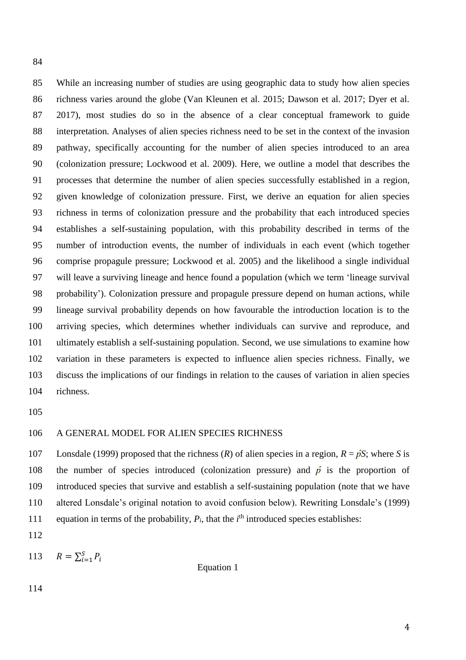While an increasing number of studies are using geographic data to study how alien species richness varies around the globe (Van Kleunen et al. 2015; Dawson et al. 2017; Dyer et al. 2017), most studies do so in the absence of a clear conceptual framework to guide

 interpretation. Analyses of alien species richness need to be set in the context of the invasion pathway, specifically accounting for the number of alien species introduced to an area (colonization pressure; Lockwood et al. 2009). Here, we outline a model that describes the processes that determine the number of alien species successfully established in a region, given knowledge of colonization pressure. First, we derive an equation for alien species richness in terms of colonization pressure and the probability that each introduced species establishes a self-sustaining population, with this probability described in terms of the number of introduction events, the number of individuals in each event (which together comprise propagule pressure; Lockwood et al. 2005) and the likelihood a single individual will leave a surviving lineage and hence found a population (which we term 'lineage survival probability'). Colonization pressure and propagule pressure depend on human actions, while lineage survival probability depends on how favourable the introduction location is to the arriving species, which determines whether individuals can survive and reproduce, and ultimately establish a self-sustaining population. Second, we use simulations to examine how variation in these parameters is expected to influence alien species richness. Finally, we discuss the implications of our findings in relation to the causes of variation in alien species richness.

## A GENERAL MODEL FOR ALIEN SPECIES RICHNESS

107 Lonsdale (1999) proposed that the richness (*R*) of alien species in a region,  $R = \hat{p}S$ ; where *S* is 108 the number of species introduced (colonization pressure) and  $\hat{p}$  is the proportion of introduced species that survive and establish a self-sustaining population (note that we have altered Lonsdale's original notation to avoid confusion below). Rewriting Lonsdale's (1999) 111 equation in terms of the probability,  $P_i$ , that the  $i<sup>th</sup>$  introduced species establishes:

 $R = \sum_{i=1}^{S} P_i$ 

Equation 1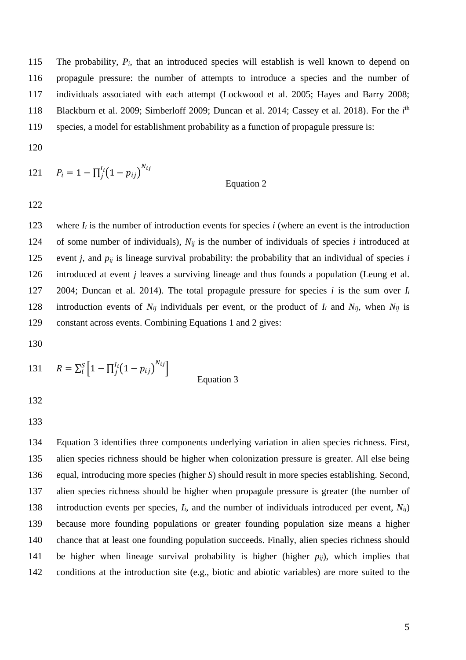The probability, *Pi*, that an introduced species will establish is well known to depend on propagule pressure: the number of attempts to introduce a species and the number of individuals associated with each attempt (Lockwood et al. 2005; Hayes and Barry 2008; 118 Blackburn et al. 2009; Simberloff 2009; Duncan et al. 2014; Cassey et al. 2018). For the *i*<sup>th</sup> species, a model for establishment probability as a function of propagule pressure is:

121 
$$
P_i = 1 - \prod_j^{I_i} (1 - p_{ij})^{N_{ij}}
$$

Equation 2

 where *I<sup>i</sup>* is the number of introduction events for species *i* (where an event is the introduction of some number of individuals), *Nij* is the number of individuals of species *i* introduced at event *j*, and *pij* is lineage survival probability: the probability that an individual of species *i* introduced at event *j* leaves a surviving lineage and thus founds a population (Leung et al. 2004; Duncan et al. 2014). The total propagule pressure for species *i* is the sum over *I<sup>i</sup>* 128 introduction events of  $N_{ij}$  individuals per event, or the product of  $I_i$  and  $N_{ij}$ , when  $N_{ij}$  is constant across events. Combining Equations 1 and 2 gives:

131 
$$
R = \sum_{i}^{S} \left[ 1 - \prod_{j}^{I_i} (1 - p_{ij})^{N_{ij}} \right]
$$
Equation 3

 Equation 3 identifies three components underlying variation in alien species richness. First, alien species richness should be higher when colonization pressure is greater. All else being equal, introducing more species (higher *S*) should result in more species establishing. Second, alien species richness should be higher when propagule pressure is greater (the number of introduction events per species, *Ii*, and the number of individuals introduced per event, *Nij*) because more founding populations or greater founding population size means a higher chance that at least one founding population succeeds. Finally, alien species richness should be higher when lineage survival probability is higher (higher *pij*), which implies that conditions at the introduction site (e.g., biotic and abiotic variables) are more suited to the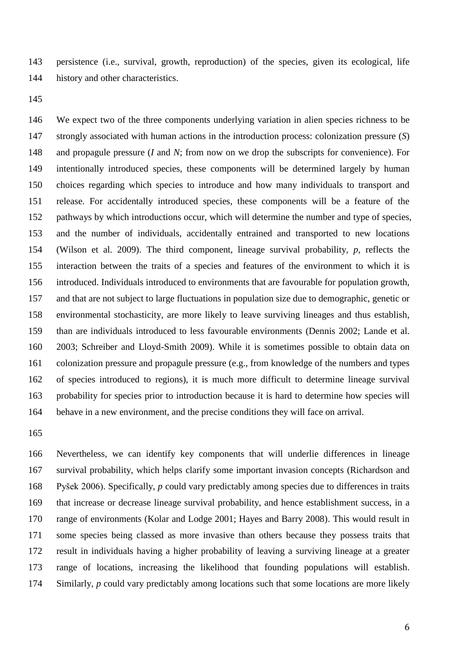persistence (i.e., survival, growth, reproduction) of the species, given its ecological, life history and other characteristics.

 We expect two of the three components underlying variation in alien species richness to be strongly associated with human actions in the introduction process: colonization pressure (*S*) and propagule pressure (*I* and *N*; from now on we drop the subscripts for convenience). For intentionally introduced species, these components will be determined largely by human choices regarding which species to introduce and how many individuals to transport and release. For accidentally introduced species, these components will be a feature of the pathways by which introductions occur, which will determine the number and type of species, and the number of individuals, accidentally entrained and transported to new locations (Wilson et al. 2009). The third component, lineage survival probability, *p*, reflects the interaction between the traits of a species and features of the environment to which it is introduced. Individuals introduced to environments that are favourable for population growth, and that are not subject to large fluctuations in population size due to demographic, genetic or environmental stochasticity, are more likely to leave surviving lineages and thus establish, than are individuals introduced to less favourable environments (Dennis 2002; Lande et al. 2003; Schreiber and Lloyd-Smith 2009). While it is sometimes possible to obtain data on colonization pressure and propagule pressure (e.g., from knowledge of the numbers and types of species introduced to regions), it is much more difficult to determine lineage survival probability for species prior to introduction because it is hard to determine how species will behave in a new environment, and the precise conditions they will face on arrival.

 Nevertheless, we can identify key components that will underlie differences in lineage survival probability, which helps clarify some important invasion concepts (Richardson and Pyšek 2006). Specifically, *p* could vary predictably among species due to differences in traits that increase or decrease lineage survival probability, and hence establishment success, in a range of environments (Kolar and Lodge 2001; Hayes and Barry 2008). This would result in some species being classed as more invasive than others because they possess traits that result in individuals having a higher probability of leaving a surviving lineage at a greater range of locations, increasing the likelihood that founding populations will establish. 174 Similarly, *p* could vary predictably among locations such that some locations are more likely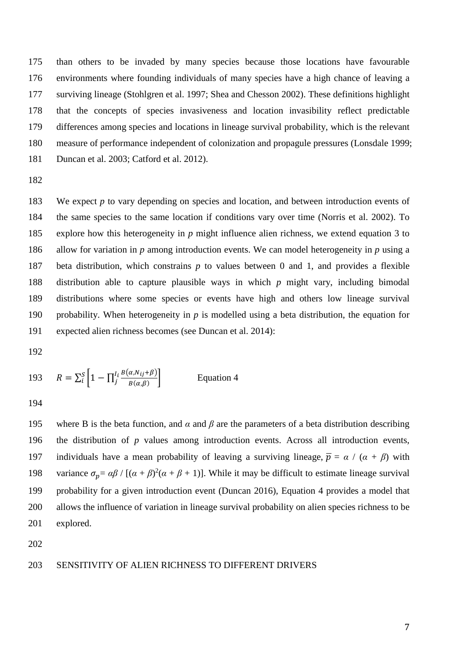than others to be invaded by many species because those locations have favourable environments where founding individuals of many species have a high chance of leaving a surviving lineage (Stohlgren et al. 1997; Shea and Chesson 2002). These definitions highlight that the concepts of species invasiveness and location invasibility reflect predictable differences among species and locations in lineage survival probability, which is the relevant measure of performance independent of colonization and propagule pressures (Lonsdale 1999; Duncan et al. 2003; Catford et al. 2012).

 We expect *p* to vary depending on species and location, and between introduction events of the same species to the same location if conditions vary over time (Norris et al. 2002). To explore how this heterogeneity in *p* might influence alien richness, we extend equation 3 to allow for variation in *p* among introduction events. We can model heterogeneity in *p* using a beta distribution, which constrains *p* to values between 0 and 1, and provides a flexible distribution able to capture plausible ways in which *p* might vary, including bimodal distributions where some species or events have high and others low lineage survival probability. When heterogeneity in *p* is modelled using a beta distribution, the equation for expected alien richness becomes (see Duncan et al. 2014):

193 
$$
R = \sum_{i}^{S} \left[ 1 - \prod_{j}^{I_{i}} \frac{B(\alpha, N_{ij} + \beta)}{B(\alpha, \beta)} \right]
$$
 Equation 4

195 where B is the beta function, and  $\alpha$  and  $\beta$  are the parameters of a beta distribution describing the distribution of *p* values among introduction events. Across all introduction events, 197 individuals have a mean probability of leaving a surviving lineage,  $\overline{p} = \alpha / (\alpha + \beta)$  with 198 variance  $\sigma_p = \alpha \beta / [(\alpha + \beta)^2(\alpha + \beta + 1)]$ . While it may be difficult to estimate lineage survival probability for a given introduction event (Duncan 2016), Equation 4 provides a model that allows the influence of variation in lineage survival probability on alien species richness to be explored.

### SENSITIVITY OF ALIEN RICHNESS TO DIFFERENT DRIVERS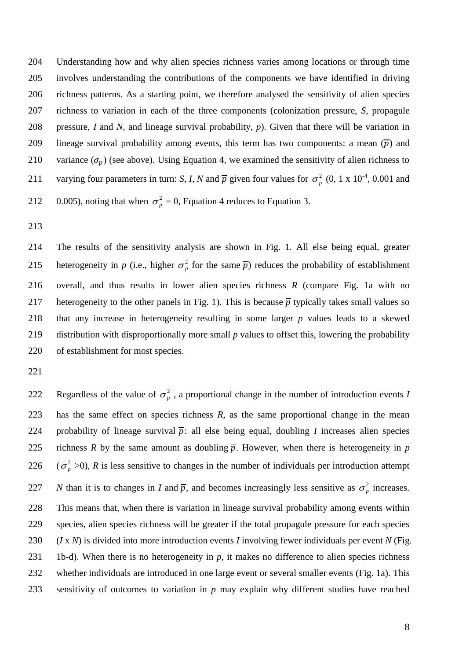Understanding how and why alien species richness varies among locations or through time involves understanding the contributions of the components we have identified in driving richness patterns. As a starting point, we therefore analysed the sensitivity of alien species richness to variation in each of the three components (colonization pressure, *S*, propagule pressure, *I* and *N*, and lineage survival probability, *p*). Given that there will be variation in 209 lineage survival probability among events, this term has two components: a mean  $(\bar{p})$  and 210 variance  $(\sigma_p)$  (see above). Using Equation 4, we examined the sensitivity of alien richness to 211 varying four parameters in turn: *S*, *I*, *N* and  $\overline{p}$  given four values for  $\sigma_p^2$  (0, 1 x 10<sup>-4</sup>, 0.001 and 212 0.005), noting that when  $\sigma_p^2 = 0$ , Equation 4 reduces to Equation 3.

 The results of the sensitivity analysis are shown in Fig. 1. All else being equal, greater 215 heterogeneity in p (i.e., higher  $\sigma_p^2$  for the same  $\overline{p}$ ) reduces the probability of establishment overall, and thus results in lower alien species richness *R* (compare Fig. 1a with no 217 heterogeneity to the other panels in Fig. 1). This is because  $\bar{p}$  typically takes small values so that any increase in heterogeneity resulting in some larger *p* values leads to a skewed distribution with disproportionally more small *p* values to offset this, lowering the probability of establishment for most species.

222 Regardless of the value of  $\sigma_p^2$ , a proportional change in the number of introduction events *I*  has the same effect on species richness *R,* as the same proportional change in the mean 224 probability of lineage survival  $\bar{p}$ : all else being equal, doubling *I* increases alien species 225 richness *R* by the same amount as doubling  $\overline{p}$ . However, when there is heterogeneity in *p*  $(\sigma_p^2 > 0)$ , *R* is less sensitive to changes in the number of individuals per introduction attempt *N* than it is to changes in *I* and  $\overline{p}$ , and becomes increasingly less sensitive as  $\sigma_p^2$  increases. This means that, when there is variation in lineage survival probability among events within species, alien species richness will be greater if the total propagule pressure for each species (*I* x *N*) is divided into more introduction events *I* involving fewer individuals per event *N* (Fig. 231 1b-d). When there is no heterogeneity in  $p$ , it makes no difference to alien species richness whether individuals are introduced in one large event or several smaller events (Fig. 1a). This sensitivity of outcomes to variation in *p* may explain why different studies have reached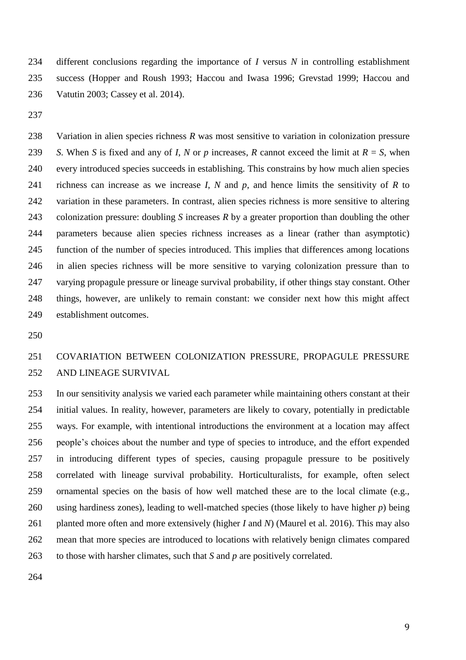different conclusions regarding the importance of *I* versus *N* in controlling establishment success (Hopper and Roush 1993; Haccou and Iwasa 1996; Grevstad 1999; Haccou and Vatutin 2003; Cassey et al. 2014).

 Variation in alien species richness *R* was most sensitive to variation in colonization pressure *S*. When *S* is fixed and any of *I*, *N* or *p* increases, *R* cannot exceed the limit at  $R = S$ , when every introduced species succeeds in establishing. This constrains by how much alien species richness can increase as we increase *I*, *N* and *p*, and hence limits the sensitivity of *R* to variation in these parameters. In contrast, alien species richness is more sensitive to altering colonization pressure: doubling *S* increases *R* by a greater proportion than doubling the other parameters because alien species richness increases as a linear (rather than asymptotic) function of the number of species introduced. This implies that differences among locations in alien species richness will be more sensitive to varying colonization pressure than to varying propagule pressure or lineage survival probability, if other things stay constant. Other things, however, are unlikely to remain constant: we consider next how this might affect establishment outcomes.

# COVARIATION BETWEEN COLONIZATION PRESSURE, PROPAGULE PRESSURE AND LINEAGE SURVIVAL

 In our sensitivity analysis we varied each parameter while maintaining others constant at their initial values. In reality, however, parameters are likely to covary, potentially in predictable ways. For example, with intentional introductions the environment at a location may affect people's choices about the number and type of species to introduce, and the effort expended in introducing different types of species, causing propagule pressure to be positively correlated with lineage survival probability. Horticulturalists, for example, often select ornamental species on the basis of how well matched these are to the local climate (e.g., using hardiness zones), leading to well-matched species (those likely to have higher *p*) being planted more often and more extensively (higher *I* and *N*) (Maurel et al. 2016). This may also mean that more species are introduced to locations with relatively benign climates compared to those with harsher climates, such that *S* and *p* are positively correlated.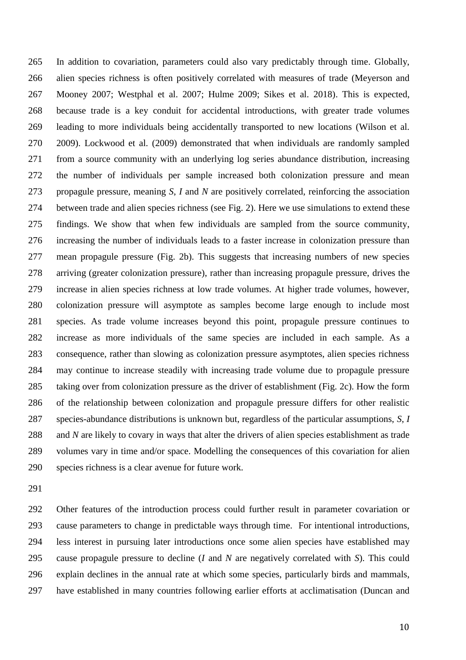In addition to covariation, parameters could also vary predictably through time. Globally, alien species richness is often positively correlated with measures of trade (Meyerson and Mooney 2007; Westphal et al. 2007; Hulme 2009; Sikes et al. 2018). This is expected, because trade is a key conduit for accidental introductions, with greater trade volumes leading to more individuals being accidentally transported to new locations (Wilson et al. 2009). Lockwood et al. (2009) demonstrated that when individuals are randomly sampled from a source community with an underlying log series abundance distribution, increasing the number of individuals per sample increased both colonization pressure and mean propagule pressure, meaning *S*, *I* and *N* are positively correlated, reinforcing the association between trade and alien species richness (see Fig. 2). Here we use simulations to extend these findings. We show that when few individuals are sampled from the source community, increasing the number of individuals leads to a faster increase in colonization pressure than mean propagule pressure (Fig. 2b). This suggests that increasing numbers of new species arriving (greater colonization pressure), rather than increasing propagule pressure, drives the increase in alien species richness at low trade volumes. At higher trade volumes, however, colonization pressure will asymptote as samples become large enough to include most species. As trade volume increases beyond this point, propagule pressure continues to increase as more individuals of the same species are included in each sample. As a consequence, rather than slowing as colonization pressure asymptotes, alien species richness may continue to increase steadily with increasing trade volume due to propagule pressure taking over from colonization pressure as the driver of establishment (Fig. 2c). How the form of the relationship between colonization and propagule pressure differs for other realistic species-abundance distributions is unknown but, regardless of the particular assumptions, *S*, *I* and *N* are likely to covary in ways that alter the drivers of alien species establishment as trade volumes vary in time and/or space. Modelling the consequences of this covariation for alien species richness is a clear avenue for future work.

 Other features of the introduction process could further result in parameter covariation or cause parameters to change in predictable ways through time. For intentional introductions, less interest in pursuing later introductions once some alien species have established may cause propagule pressure to decline (*I* and *N* are negatively correlated with *S*). This could explain declines in the annual rate at which some species, particularly birds and mammals, have established in many countries following earlier efforts at acclimatisation (Duncan and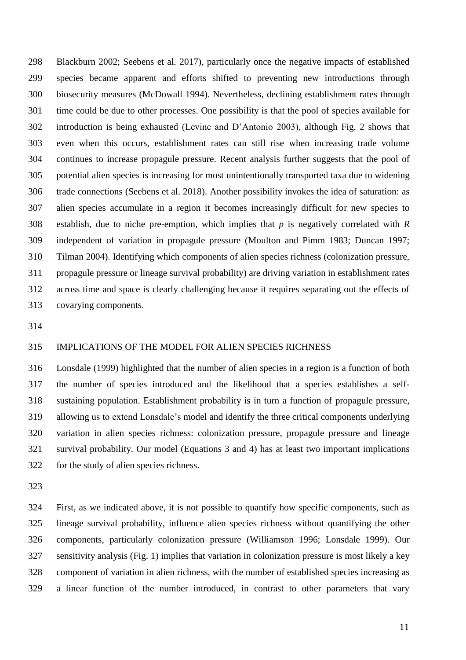Blackburn 2002; Seebens et al. 2017), particularly once the negative impacts of established species became apparent and efforts shifted to preventing new introductions through biosecurity measures (McDowall 1994). Nevertheless, declining establishment rates through time could be due to other processes. One possibility is that the pool of species available for introduction is being exhausted (Levine and D'Antonio 2003), although Fig. 2 shows that even when this occurs, establishment rates can still rise when increasing trade volume continues to increase propagule pressure. Recent analysis further suggests that the pool of potential alien species is increasing for most unintentionally transported taxa due to widening trade connections (Seebens et al. 2018). Another possibility invokes the idea of saturation: as alien species accumulate in a region it becomes increasingly difficult for new species to establish, due to niche pre-emption, which implies that *p* is negatively correlated with *R* independent of variation in propagule pressure (Moulton and Pimm 1983; Duncan 1997; Tilman 2004). Identifying which components of alien species richness (colonization pressure, propagule pressure or lineage survival probability) are driving variation in establishment rates across time and space is clearly challenging because it requires separating out the effects of covarying components.

## IMPLICATIONS OF THE MODEL FOR ALIEN SPECIES RICHNESS

 Lonsdale (1999) highlighted that the number of alien species in a region is a function of both the number of species introduced and the likelihood that a species establishes a self- sustaining population. Establishment probability is in turn a function of propagule pressure, allowing us to extend Lonsdale's model and identify the three critical components underlying variation in alien species richness: colonization pressure, propagule pressure and lineage survival probability. Our model (Equations 3 and 4) has at least two important implications for the study of alien species richness.

 First, as we indicated above, it is not possible to quantify how specific components, such as lineage survival probability, influence alien species richness without quantifying the other components, particularly colonization pressure (Williamson 1996; Lonsdale 1999). Our sensitivity analysis (Fig. 1) implies that variation in colonization pressure is most likely a key component of variation in alien richness, with the number of established species increasing as a linear function of the number introduced, in contrast to other parameters that vary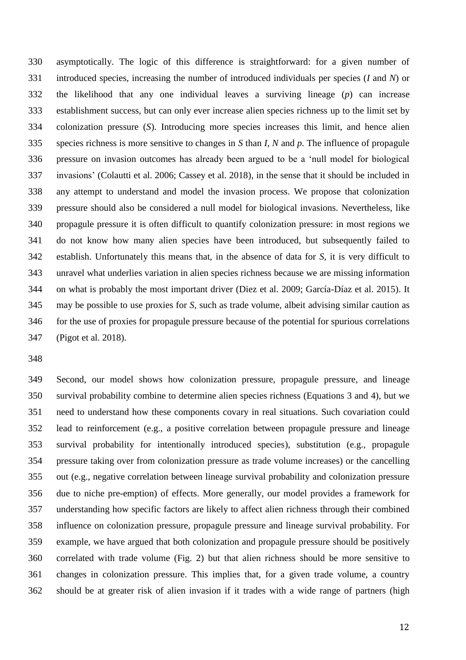asymptotically. The logic of this difference is straightforward: for a given number of introduced species, increasing the number of introduced individuals per species (*I* and *N*) or the likelihood that any one individual leaves a surviving lineage (*p*) can increase establishment success, but can only ever increase alien species richness up to the limit set by colonization pressure (*S*). Introducing more species increases this limit, and hence alien species richness is more sensitive to changes in *S* than *I*, *N* and *p*. The influence of propagule pressure on invasion outcomes has already been argued to be a 'null model for biological invasions' (Colautti et al. 2006; Cassey et al. 2018), in the sense that it should be included in any attempt to understand and model the invasion process. We propose that colonization pressure should also be considered a null model for biological invasions. Nevertheless, like propagule pressure it is often difficult to quantify colonization pressure: in most regions we do not know how many alien species have been introduced, but subsequently failed to establish. Unfortunately this means that, in the absence of data for *S*, it is very difficult to unravel what underlies variation in alien species richness because we are missing information on what is probably the most important driver (Diez et al. 2009; García-Díaz et al. 2015). It may be possible to use proxies for *S*, such as trade volume, albeit advising similar caution as for the use of proxies for propagule pressure because of the potential for spurious correlations (Pigot et al. 2018).

 Second, our model shows how colonization pressure, propagule pressure, and lineage survival probability combine to determine alien species richness (Equations 3 and 4), but we need to understand how these components covary in real situations. Such covariation could lead to reinforcement (e.g., a positive correlation between propagule pressure and lineage survival probability for intentionally introduced species), substitution (e.g., propagule pressure taking over from colonization pressure as trade volume increases) or the cancelling out (e.g., negative correlation between lineage survival probability and colonization pressure due to niche pre-emption) of effects. More generally, our model provides a framework for understanding how specific factors are likely to affect alien richness through their combined influence on colonization pressure, propagule pressure and lineage survival probability. For example, we have argued that both colonization and propagule pressure should be positively correlated with trade volume (Fig. 2) but that alien richness should be more sensitive to changes in colonization pressure. This implies that, for a given trade volume, a country should be at greater risk of alien invasion if it trades with a wide range of partners (high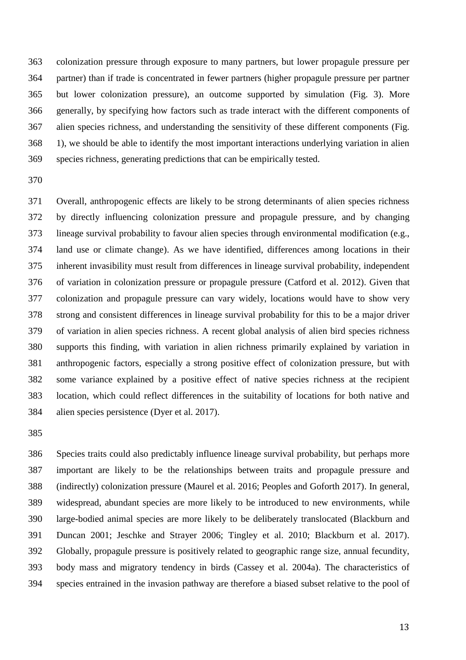colonization pressure through exposure to many partners, but lower propagule pressure per partner) than if trade is concentrated in fewer partners (higher propagule pressure per partner but lower colonization pressure), an outcome supported by simulation (Fig. 3). More generally, by specifying how factors such as trade interact with the different components of alien species richness, and understanding the sensitivity of these different components (Fig. 1), we should be able to identify the most important interactions underlying variation in alien species richness, generating predictions that can be empirically tested.

 Overall, anthropogenic effects are likely to be strong determinants of alien species richness by directly influencing colonization pressure and propagule pressure, and by changing lineage survival probability to favour alien species through environmental modification (e.g., land use or climate change). As we have identified, differences among locations in their inherent invasibility must result from differences in lineage survival probability, independent of variation in colonization pressure or propagule pressure (Catford et al. 2012). Given that colonization and propagule pressure can vary widely, locations would have to show very strong and consistent differences in lineage survival probability for this to be a major driver of variation in alien species richness. A recent global analysis of alien bird species richness supports this finding, with variation in alien richness primarily explained by variation in anthropogenic factors, especially a strong positive effect of colonization pressure, but with some variance explained by a positive effect of native species richness at the recipient location, which could reflect differences in the suitability of locations for both native and alien species persistence (Dyer et al. 2017).

 Species traits could also predictably influence lineage survival probability, but perhaps more important are likely to be the relationships between traits and propagule pressure and (indirectly) colonization pressure (Maurel et al. 2016; Peoples and Goforth 2017). In general, widespread, abundant species are more likely to be introduced to new environments, while large-bodied animal species are more likely to be deliberately translocated (Blackburn and Duncan 2001; Jeschke and Strayer 2006; Tingley et al. 2010; Blackburn et al. 2017). Globally, propagule pressure is positively related to geographic range size, annual fecundity, body mass and migratory tendency in birds (Cassey et al. 2004a). The characteristics of species entrained in the invasion pathway are therefore a biased subset relative to the pool of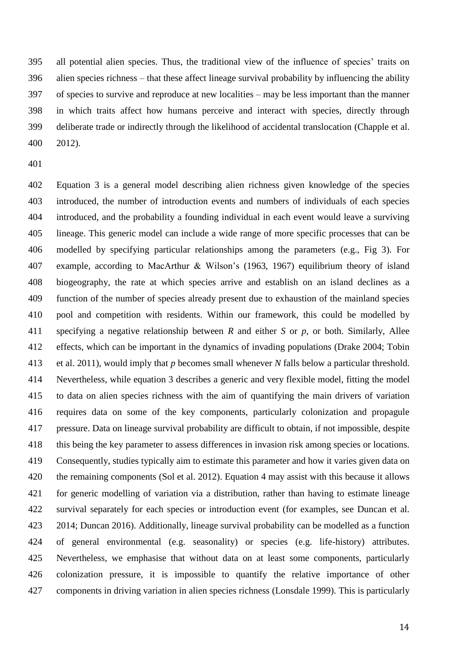all potential alien species. Thus, the traditional view of the influence of species' traits on alien species richness – that these affect lineage survival probability by influencing the ability of species to survive and reproduce at new localities – may be less important than the manner in which traits affect how humans perceive and interact with species, directly through deliberate trade or indirectly through the likelihood of accidental translocation (Chapple et al. 2012).

 Equation 3 is a general model describing alien richness given knowledge of the species introduced, the number of introduction events and numbers of individuals of each species introduced, and the probability a founding individual in each event would leave a surviving lineage. This generic model can include a wide range of more specific processes that can be modelled by specifying particular relationships among the parameters (e.g., Fig 3). For example, according to MacArthur & Wilson's (1963, 1967) equilibrium theory of island biogeography, the rate at which species arrive and establish on an island declines as a function of the number of species already present due to exhaustion of the mainland species pool and competition with residents. Within our framework, this could be modelled by specifying a negative relationship between *R* and either *S* or *p*, or both. Similarly, Allee effects, which can be important in the dynamics of invading populations (Drake 2004; Tobin et al. 2011), would imply that *p* becomes small whenever *N* falls below a particular threshold. Nevertheless, while equation 3 describes a generic and very flexible model, fitting the model to data on alien species richness with the aim of quantifying the main drivers of variation requires data on some of the key components, particularly colonization and propagule pressure. Data on lineage survival probability are difficult to obtain, if not impossible, despite this being the key parameter to assess differences in invasion risk among species or locations. Consequently, studies typically aim to estimate this parameter and how it varies given data on the remaining components (Sol et al. 2012). Equation 4 may assist with this because it allows for generic modelling of variation via a distribution, rather than having to estimate lineage survival separately for each species or introduction event (for examples, see Duncan et al. 2014; Duncan 2016). Additionally, lineage survival probability can be modelled as a function of general environmental (e.g. seasonality) or species (e.g. life-history) attributes. Nevertheless, we emphasise that without data on at least some components, particularly colonization pressure, it is impossible to quantify the relative importance of other components in driving variation in alien species richness (Lonsdale 1999). This is particularly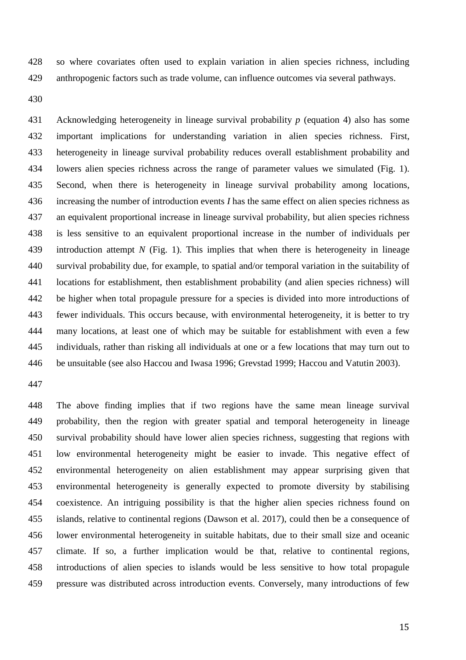so where covariates often used to explain variation in alien species richness, including anthropogenic factors such as trade volume, can influence outcomes via several pathways.

 Acknowledging heterogeneity in lineage survival probability *p* (equation 4) also has some important implications for understanding variation in alien species richness. First, heterogeneity in lineage survival probability reduces overall establishment probability and lowers alien species richness across the range of parameter values we simulated (Fig. 1). Second, when there is heterogeneity in lineage survival probability among locations, increasing the number of introduction events *I* has the same effect on alien species richness as an equivalent proportional increase in lineage survival probability, but alien species richness is less sensitive to an equivalent proportional increase in the number of individuals per introduction attempt *N* (Fig. 1). This implies that when there is heterogeneity in lineage survival probability due, for example, to spatial and/or temporal variation in the suitability of locations for establishment, then establishment probability (and alien species richness) will be higher when total propagule pressure for a species is divided into more introductions of fewer individuals. This occurs because, with environmental heterogeneity, it is better to try many locations, at least one of which may be suitable for establishment with even a few individuals, rather than risking all individuals at one or a few locations that may turn out to be unsuitable (see also Haccou and Iwasa 1996; Grevstad 1999; Haccou and Vatutin 2003).

 The above finding implies that if two regions have the same mean lineage survival probability, then the region with greater spatial and temporal heterogeneity in lineage survival probability should have lower alien species richness, suggesting that regions with low environmental heterogeneity might be easier to invade. This negative effect of environmental heterogeneity on alien establishment may appear surprising given that environmental heterogeneity is generally expected to promote diversity by stabilising coexistence. An intriguing possibility is that the higher alien species richness found on islands, relative to continental regions (Dawson et al. 2017), could then be a consequence of lower environmental heterogeneity in suitable habitats, due to their small size and oceanic climate. If so, a further implication would be that, relative to continental regions, introductions of alien species to islands would be less sensitive to how total propagule pressure was distributed across introduction events. Conversely, many introductions of few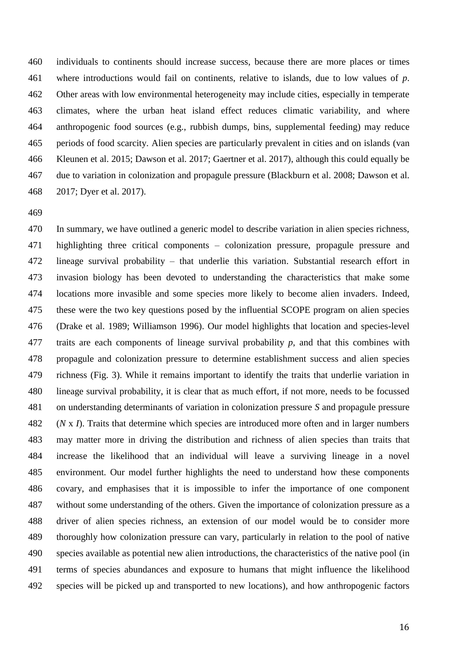individuals to continents should increase success, because there are more places or times where introductions would fail on continents, relative to islands, due to low values of *p*. Other areas with low environmental heterogeneity may include cities, especially in temperate climates, where the urban heat island effect reduces climatic variability, and where anthropogenic food sources (e.g., rubbish dumps, bins, supplemental feeding) may reduce periods of food scarcity. Alien species are particularly prevalent in cities and on islands (van Kleunen et al. 2015; Dawson et al. 2017; Gaertner et al. 2017), although this could equally be due to variation in colonization and propagule pressure (Blackburn et al. 2008; Dawson et al. 2017; Dyer et al. 2017).

 In summary, we have outlined a generic model to describe variation in alien species richness, highlighting three critical components – colonization pressure, propagule pressure and lineage survival probability – that underlie this variation. Substantial research effort in invasion biology has been devoted to understanding the characteristics that make some locations more invasible and some species more likely to become alien invaders. Indeed, these were the two key questions posed by the influential SCOPE program on alien species (Drake et al. 1989; Williamson 1996). Our model highlights that location and species-level traits are each components of lineage survival probability *p*, and that this combines with propagule and colonization pressure to determine establishment success and alien species richness (Fig. 3). While it remains important to identify the traits that underlie variation in lineage survival probability, it is clear that as much effort, if not more, needs to be focussed on understanding determinants of variation in colonization pressure *S* and propagule pressure (*N* x *I*). Traits that determine which species are introduced more often and in larger numbers may matter more in driving the distribution and richness of alien species than traits that increase the likelihood that an individual will leave a surviving lineage in a novel environment. Our model further highlights the need to understand how these components covary, and emphasises that it is impossible to infer the importance of one component without some understanding of the others. Given the importance of colonization pressure as a driver of alien species richness, an extension of our model would be to consider more thoroughly how colonization pressure can vary, particularly in relation to the pool of native species available as potential new alien introductions, the characteristics of the native pool (in terms of species abundances and exposure to humans that might influence the likelihood species will be picked up and transported to new locations), and how anthropogenic factors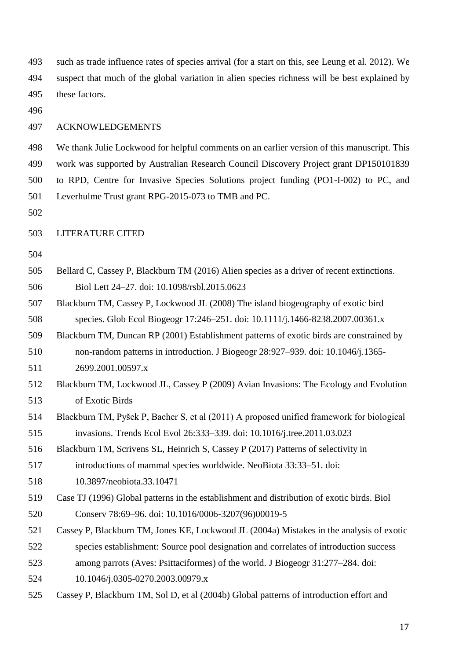such as trade influence rates of species arrival (for a start on this, see Leung et al. 2012). We suspect that much of the global variation in alien species richness will be best explained by these factors.

## ACKNOWLEDGEMENTS

 We thank Julie Lockwood for helpful comments on an earlier version of this manuscript. This work was supported by Australian Research Council Discovery Project grant DP150101839 to RPD, Centre for Invasive Species Solutions project funding (PO1-I-002) to PC, and Leverhulme Trust grant RPG-2015-073 to TMB and PC.

## LITERATURE CITED

- Bellard C, Cassey P, Blackburn TM (2016) Alien species as a driver of recent extinctions. Biol Lett 24–27. doi: 10.1098/rsbl.2015.0623
- Blackburn TM, Cassey P, Lockwood JL (2008) The island biogeography of exotic bird species. Glob Ecol Biogeogr 17:246–251. doi: 10.1111/j.1466-8238.2007.00361.x
- Blackburn TM, Duncan RP (2001) Establishment patterns of exotic birds are constrained by
- non-random patterns in introduction. J Biogeogr 28:927–939. doi: 10.1046/j.1365- 2699.2001.00597.x
- Blackburn TM, Lockwood JL, Cassey P (2009) Avian Invasions: The Ecology and Evolution of Exotic Birds
- Blackburn TM, Pyšek P, Bacher S, et al (2011) A proposed unified framework for biological invasions. Trends Ecol Evol 26:333–339. doi: 10.1016/j.tree.2011.03.023
- Blackburn TM, Scrivens SL, Heinrich S, Cassey P (2017) Patterns of selectivity in
- introductions of mammal species worldwide. NeoBiota 33:33–51. doi:
- 10.3897/neobiota.33.10471
- Case TJ (1996) Global patterns in the establishment and distribution of exotic birds. Biol Conserv 78:69–96. doi: 10.1016/0006-3207(96)00019-5
- Cassey P, Blackburn TM, Jones KE, Lockwood JL (2004a) Mistakes in the analysis of exotic
- species establishment: Source pool designation and correlates of introduction success
- among parrots (Aves: Psittaciformes) of the world. J Biogeogr 31:277–284. doi:
- 10.1046/j.0305-0270.2003.00979.x
- Cassey P, Blackburn TM, Sol D, et al (2004b) Global patterns of introduction effort and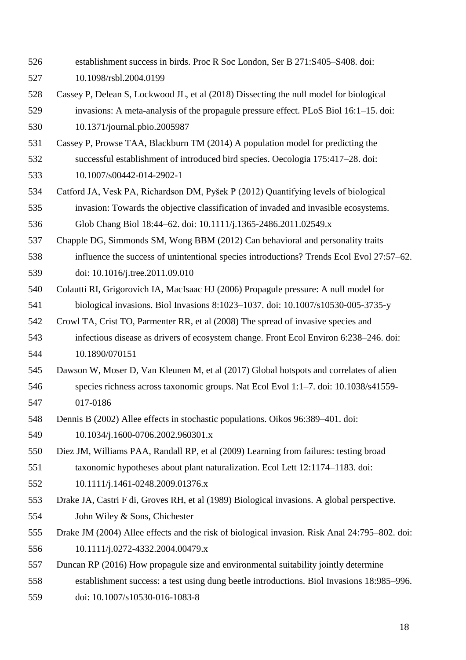establishment success in birds. Proc R Soc London, Ser B 271:S405–S408. doi: 10.1098/rsbl.2004.0199 Cassey P, Delean S, Lockwood JL, et al (2018) Dissecting the null model for biological invasions: A meta-analysis of the propagule pressure effect. PLoS Biol 16:1–15. doi: 10.1371/journal.pbio.2005987 Cassey P, Prowse TAA, Blackburn TM (2014) A population model for predicting the successful establishment of introduced bird species. Oecologia 175:417–28. doi: 10.1007/s00442-014-2902-1 Catford JA, Vesk PA, Richardson DM, Pyšek P (2012) Quantifying levels of biological invasion: Towards the objective classification of invaded and invasible ecosystems. Glob Chang Biol 18:44–62. doi: 10.1111/j.1365-2486.2011.02549.x Chapple DG, Simmonds SM, Wong BBM (2012) Can behavioral and personality traits influence the success of unintentional species introductions? Trends Ecol Evol 27:57–62. doi: 10.1016/j.tree.2011.09.010 Colautti RI, Grigorovich IA, MacIsaac HJ (2006) Propagule pressure: A null model for biological invasions. Biol Invasions 8:1023–1037. doi: 10.1007/s10530-005-3735-y Crowl TA, Crist TO, Parmenter RR, et al (2008) The spread of invasive species and infectious disease as drivers of ecosystem change. Front Ecol Environ 6:238–246. doi: 10.1890/070151 Dawson W, Moser D, Van Kleunen M, et al (2017) Global hotspots and correlates of alien species richness across taxonomic groups. Nat Ecol Evol 1:1–7. doi: 10.1038/s41559- 017-0186 Dennis B (2002) Allee effects in stochastic populations. Oikos 96:389–401. doi: 10.1034/j.1600-0706.2002.960301.x Diez JM, Williams PAA, Randall RP, et al (2009) Learning from failures: testing broad taxonomic hypotheses about plant naturalization. Ecol Lett 12:1174–1183. doi: 10.1111/j.1461-0248.2009.01376.x Drake JA, Castri F di, Groves RH, et al (1989) Biological invasions. A global perspective. John Wiley & Sons, Chichester Drake JM (2004) Allee effects and the risk of biological invasion. Risk Anal 24:795–802. doi: 10.1111/j.0272-4332.2004.00479.x Duncan RP (2016) How propagule size and environmental suitability jointly determine establishment success: a test using dung beetle introductions. Biol Invasions 18:985–996. doi: 10.1007/s10530-016-1083-8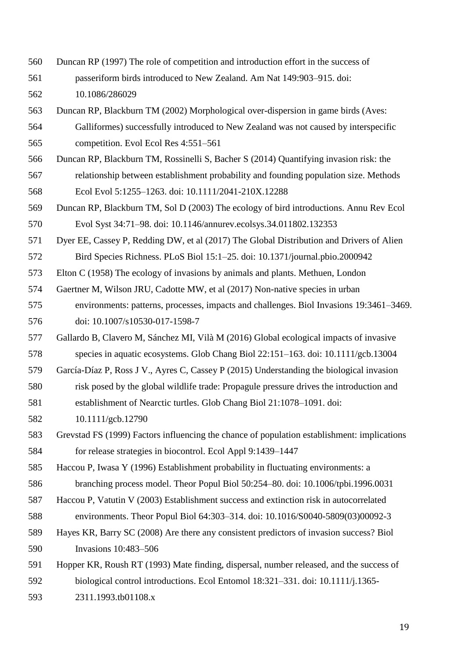- Duncan RP (1997) The role of competition and introduction effort in the success of passeriform birds introduced to New Zealand. Am Nat 149:903–915. doi:
- 10.1086/286029
- Duncan RP, Blackburn TM (2002) Morphological over-dispersion in game birds (Aves:
- Galliformes) successfully introduced to New Zealand was not caused by interspecific competition. Evol Ecol Res 4:551–561
- Duncan RP, Blackburn TM, Rossinelli S, Bacher S (2014) Quantifying invasion risk: the
- relationship between establishment probability and founding population size. Methods Ecol Evol 5:1255–1263. doi: 10.1111/2041-210X.12288
- Duncan RP, Blackburn TM, Sol D (2003) The ecology of bird introductions. Annu Rev Ecol Evol Syst 34:71–98. doi: 10.1146/annurev.ecolsys.34.011802.132353
- Dyer EE, Cassey P, Redding DW, et al (2017) The Global Distribution and Drivers of Alien
- Bird Species Richness. PLoS Biol 15:1–25. doi: 10.1371/journal.pbio.2000942
- Elton C (1958) The ecology of invasions by animals and plants. Methuen, London
- Gaertner M, Wilson JRU, Cadotte MW, et al (2017) Non-native species in urban
- environments: patterns, processes, impacts and challenges. Biol Invasions 19:3461–3469. doi: 10.1007/s10530-017-1598-7
- Gallardo B, Clavero M, Sánchez MI, Vilà M (2016) Global ecological impacts of invasive species in aquatic ecosystems. Glob Chang Biol 22:151–163. doi: 10.1111/gcb.13004
- García-Díaz P, Ross J V., Ayres C, Cassey P (2015) Understanding the biological invasion
- risk posed by the global wildlife trade: Propagule pressure drives the introduction and
- establishment of Nearctic turtles. Glob Chang Biol 21:1078–1091. doi:
- 10.1111/gcb.12790
- Grevstad FS (1999) Factors influencing the chance of population establishment: implications for release strategies in biocontrol. Ecol Appl 9:1439–1447
- Haccou P, Iwasa Y (1996) Establishment probability in fluctuating environments: a
- branching process model. Theor Popul Biol 50:254–80. doi: 10.1006/tpbi.1996.0031
- Haccou P, Vatutin V (2003) Establishment success and extinction risk in autocorrelated environments. Theor Popul Biol 64:303–314. doi: 10.1016/S0040-5809(03)00092-3
- Hayes KR, Barry SC (2008) Are there any consistent predictors of invasion success? Biol Invasions 10:483–506
- Hopper KR, Roush RT (1993) Mate finding, dispersal, number released, and the success of biological control introductions. Ecol Entomol 18:321–331. doi: 10.1111/j.1365-
- 2311.1993.tb01108.x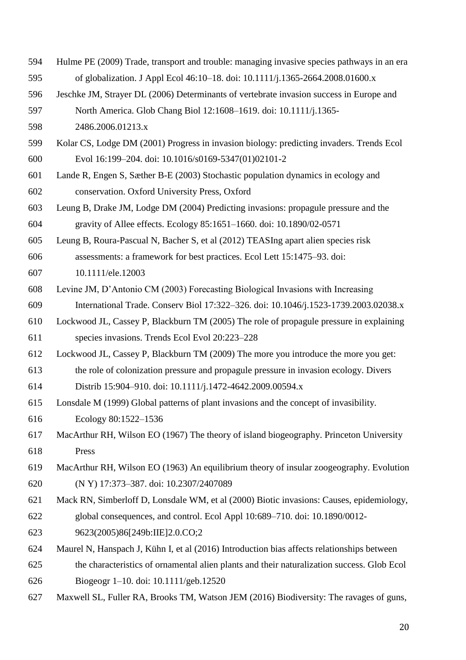- Hulme PE (2009) Trade, transport and trouble: managing invasive species pathways in an era of globalization. J Appl Ecol 46:10–18. doi: 10.1111/j.1365-2664.2008.01600.x
- Jeschke JM, Strayer DL (2006) Determinants of vertebrate invasion success in Europe and
- North America. Glob Chang Biol 12:1608–1619. doi: 10.1111/j.1365-
- 2486.2006.01213.x
- Kolar CS, Lodge DM (2001) Progress in invasion biology: predicting invaders. Trends Ecol Evol 16:199–204. doi: 10.1016/s0169-5347(01)02101-2
- Lande R, Engen S, Sæther B-E (2003) Stochastic population dynamics in ecology and conservation. Oxford University Press, Oxford
- Leung B, Drake JM, Lodge DM (2004) Predicting invasions: propagule pressure and the gravity of Allee effects. Ecology 85:1651–1660. doi: 10.1890/02-0571
- Leung B, Roura-Pascual N, Bacher S, et al (2012) TEASIng apart alien species risk
- assessments: a framework for best practices. Ecol Lett 15:1475–93. doi:
- 10.1111/ele.12003
- Levine JM, D'Antonio CM (2003) Forecasting Biological Invasions with Increasing International Trade. Conserv Biol 17:322–326. doi: 10.1046/j.1523-1739.2003.02038.x
- Lockwood JL, Cassey P, Blackburn TM (2005) The role of propagule pressure in explaining species invasions. Trends Ecol Evol 20:223–228
- Lockwood JL, Cassey P, Blackburn TM (2009) The more you introduce the more you get:
- the role of colonization pressure and propagule pressure in invasion ecology. Divers
- Distrib 15:904–910. doi: 10.1111/j.1472-4642.2009.00594.x
- Lonsdale M (1999) Global patterns of plant invasions and the concept of invasibility. Ecology 80:1522–1536
- MacArthur RH, Wilson EO (1967) The theory of island biogeography. Princeton University Press
- MacArthur RH, Wilson EO (1963) An equilibrium theory of insular zoogeography. Evolution (N Y) 17:373–387. doi: 10.2307/2407089
- Mack RN, Simberloff D, Lonsdale WM, et al (2000) Biotic invasions: Causes, epidemiology,
- global consequences, and control. Ecol Appl 10:689–710. doi: 10.1890/0012-
- 9623(2005)86[249b:IIE]2.0.CO;2
- Maurel N, Hanspach J, Kühn I, et al (2016) Introduction bias affects relationships between
- the characteristics of ornamental alien plants and their naturalization success. Glob Ecol Biogeogr 1–10. doi: 10.1111/geb.12520
- Maxwell SL, Fuller RA, Brooks TM, Watson JEM (2016) Biodiversity: The ravages of guns,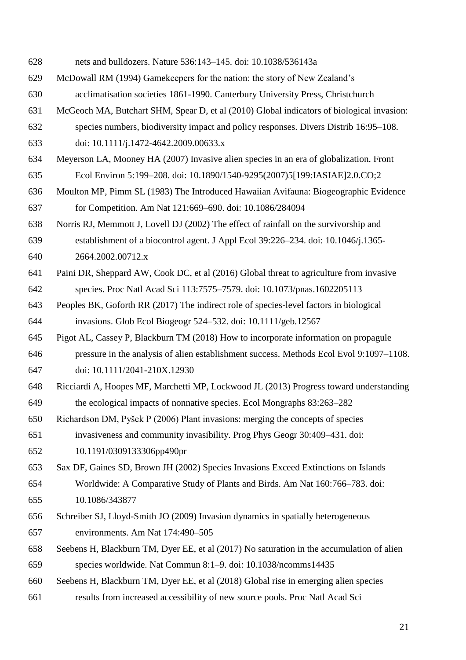- nets and bulldozers. Nature 536:143–145. doi: 10.1038/536143a
- McDowall RM (1994) Gamekeepers for the nation: the story of New Zealand's
- acclimatisation societies 1861-1990. Canterbury University Press, Christchurch
- McGeoch MA, Butchart SHM, Spear D, et al (2010) Global indicators of biological invasion:
- species numbers, biodiversity impact and policy responses. Divers Distrib 16:95–108.
- doi: 10.1111/j.1472-4642.2009.00633.x
- Meyerson LA, Mooney HA (2007) Invasive alien species in an era of globalization. Front Ecol Environ 5:199–208. doi: 10.1890/1540-9295(2007)5[199:IASIAE]2.0.CO;2
- Moulton MP, Pimm SL (1983) The Introduced Hawaiian Avifauna: Biogeographic Evidence for Competition. Am Nat 121:669–690. doi: 10.1086/284094
- Norris RJ, Memmott J, Lovell DJ (2002) The effect of rainfall on the survivorship and establishment of a biocontrol agent. J Appl Ecol 39:226–234. doi: 10.1046/j.1365- 2664.2002.00712.x
- Paini DR, Sheppard AW, Cook DC, et al (2016) Global threat to agriculture from invasive species. Proc Natl Acad Sci 113:7575–7579. doi: 10.1073/pnas.1602205113
- Peoples BK, Goforth RR (2017) The indirect role of species-level factors in biological invasions. Glob Ecol Biogeogr 524–532. doi: 10.1111/geb.12567
- Pigot AL, Cassey P, Blackburn TM (2018) How to incorporate information on propagule
- pressure in the analysis of alien establishment success. Methods Ecol Evol 9:1097–1108.
- doi: 10.1111/2041-210X.12930
- Ricciardi A, Hoopes MF, Marchetti MP, Lockwood JL (2013) Progress toward understanding the ecological impacts of nonnative species. Ecol Mongraphs 83:263–282
- Richardson DM, Pyšek P (2006) Plant invasions: merging the concepts of species
- invasiveness and community invasibility. Prog Phys Geogr 30:409–431. doi:
- 10.1191/0309133306pp490pr
- Sax DF, Gaines SD, Brown JH (2002) Species Invasions Exceed Extinctions on Islands Worldwide: A Comparative Study of Plants and Birds. Am Nat 160:766–783. doi: 10.1086/343877
- Schreiber SJ, Lloyd-Smith JO (2009) Invasion dynamics in spatially heterogeneous environments. Am Nat 174:490–505
- Seebens H, Blackburn TM, Dyer EE, et al (2017) No saturation in the accumulation of alien species worldwide. Nat Commun 8:1–9. doi: 10.1038/ncomms14435
- Seebens H, Blackburn TM, Dyer EE, et al (2018) Global rise in emerging alien species results from increased accessibility of new source pools. Proc Natl Acad Sci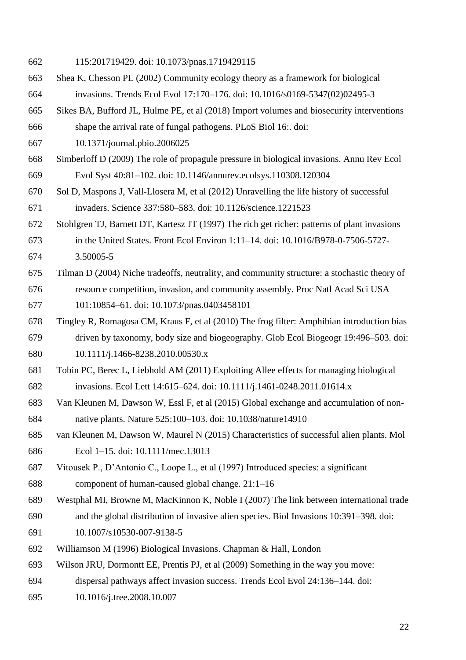- 115:201719429. doi: 10.1073/pnas.1719429115
- Shea K, Chesson PL (2002) Community ecology theory as a framework for biological
- invasions. Trends Ecol Evol 17:170–176. doi: 10.1016/s0169-5347(02)02495-3
- Sikes BA, Bufford JL, Hulme PE, et al (2018) Import volumes and biosecurity interventions shape the arrival rate of fungal pathogens. PLoS Biol 16:. doi:

10.1371/journal.pbio.2006025

- Simberloff D (2009) The role of propagule pressure in biological invasions. Annu Rev Ecol Evol Syst 40:81–102. doi: 10.1146/annurev.ecolsys.110308.120304
- Sol D, Maspons J, Vall-Llosera M, et al (2012) Unravelling the life history of successful invaders. Science 337:580–583. doi: 10.1126/science.1221523
- Stohlgren TJ, Barnett DT, Kartesz JT (1997) The rich get richer: patterns of plant invasions in the United States. Front Ecol Environ 1:11–14. doi: 10.1016/B978-0-7506-5727- 3.50005-5
- Tilman D (2004) Niche tradeoffs, neutrality, and community structure: a stochastic theory of resource competition, invasion, and community assembly. Proc Natl Acad Sci USA 101:10854–61. doi: 10.1073/pnas.0403458101
- Tingley R, Romagosa CM, Kraus F, et al (2010) The frog filter: Amphibian introduction bias driven by taxonomy, body size and biogeography. Glob Ecol Biogeogr 19:496–503. doi:

10.1111/j.1466-8238.2010.00530.x

- Tobin PC, Berec L, Liebhold AM (2011) Exploiting Allee effects for managing biological invasions. Ecol Lett 14:615–624. doi: 10.1111/j.1461-0248.2011.01614.x
- Van Kleunen M, Dawson W, Essl F, et al (2015) Global exchange and accumulation of non-native plants. Nature 525:100–103. doi: 10.1038/nature14910
- van Kleunen M, Dawson W, Maurel N (2015) Characteristics of successful alien plants. Mol Ecol 1–15. doi: 10.1111/mec.13013
- Vitousek P., D'Antonio C., Loope L., et al (1997) Introduced species: a significant component of human-caused global change. 21:1–16
- Westphal MI, Browne M, MacKinnon K, Noble I (2007) The link between international trade
- and the global distribution of invasive alien species. Biol Invasions 10:391–398. doi: 10.1007/s10530-007-9138-5
- Williamson M (1996) Biological Invasions. Chapman & Hall, London
- Wilson JRU, Dormontt EE, Prentis PJ, et al (2009) Something in the way you move:
- dispersal pathways affect invasion success. Trends Ecol Evol 24:136–144. doi:
- 10.1016/j.tree.2008.10.007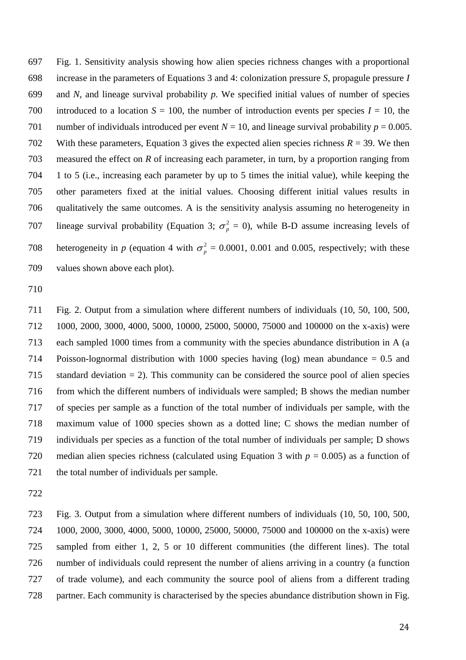Fig. 1. Sensitivity analysis showing how alien species richness changes with a proportional increase in the parameters of Equations 3 and 4: colonization pressure *S*, propagule pressure *I* and *N*, and lineage survival probability *p*. We specified initial values of number of species 700 introduced to a location  $S = 100$ , the number of introduction events per species  $I = 10$ , the 701 number of individuals introduced per event  $N = 10$ , and lineage survival probability  $p = 0.005$ . 702 With these parameters, Equation 3 gives the expected alien species richness  $R = 39$ . We then measured the effect on *R* of increasing each parameter, in turn, by a proportion ranging from 1 to 5 (i.e., increasing each parameter by up to 5 times the initial value), while keeping the other parameters fixed at the initial values. Choosing different initial values results in qualitatively the same outcomes. A is the sensitivity analysis assuming no heterogeneity in 707 lineage survival probability (Equation 3;  $\sigma_p^2 = 0$ ), while B-D assume increasing levels of 708 heterogeneity in *p* (equation 4 with  $\sigma_p^2 = 0.0001$ , 0.001 and 0.005, respectively; with these values shown above each plot).

 Fig. 2. Output from a simulation where different numbers of individuals (10, 50, 100, 500, 1000, 2000, 3000, 4000, 5000, 10000, 25000, 50000, 75000 and 100000 on the x-axis) were each sampled 1000 times from a community with the species abundance distribution in A (a Poisson-lognormal distribution with 1000 species having (log) mean abundance = 0.5 and 715 standard deviation  $= 2$ ). This community can be considered the source pool of alien species from which the different numbers of individuals were sampled; B shows the median number of species per sample as a function of the total number of individuals per sample, with the maximum value of 1000 species shown as a dotted line; C shows the median number of individuals per species as a function of the total number of individuals per sample; D shows 720 median alien species richness (calculated using Equation 3 with  $p = 0.005$ ) as a function of 721 the total number of individuals per sample.

 Fig. 3. Output from a simulation where different numbers of individuals (10, 50, 100, 500, 1000, 2000, 3000, 4000, 5000, 10000, 25000, 50000, 75000 and 100000 on the x-axis) were sampled from either 1, 2, 5 or 10 different communities (the different lines). The total number of individuals could represent the number of aliens arriving in a country (a function of trade volume), and each community the source pool of aliens from a different trading partner. Each community is characterised by the species abundance distribution shown in Fig.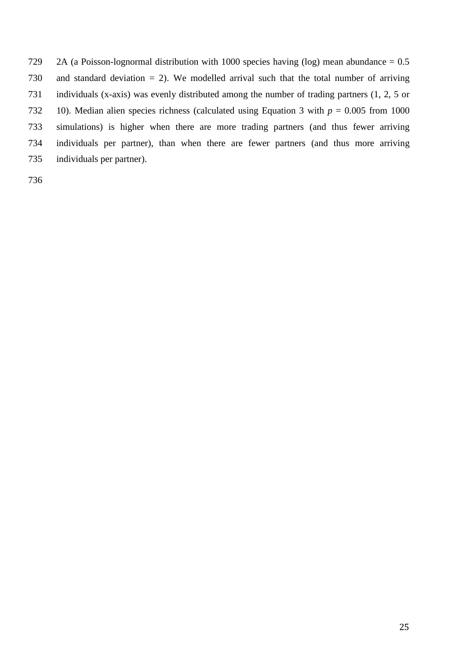729 2A (a Poisson-lognormal distribution with 1000 species having (log) mean abundance  $= 0.5$  and standard deviation = 2). We modelled arrival such that the total number of arriving individuals (x-axis) was evenly distributed among the number of trading partners (1, 2, 5 or 732 10). Median alien species richness (calculated using Equation 3 with  $p = 0.005$  from 1000 simulations) is higher when there are more trading partners (and thus fewer arriving individuals per partner), than when there are fewer partners (and thus more arriving individuals per partner).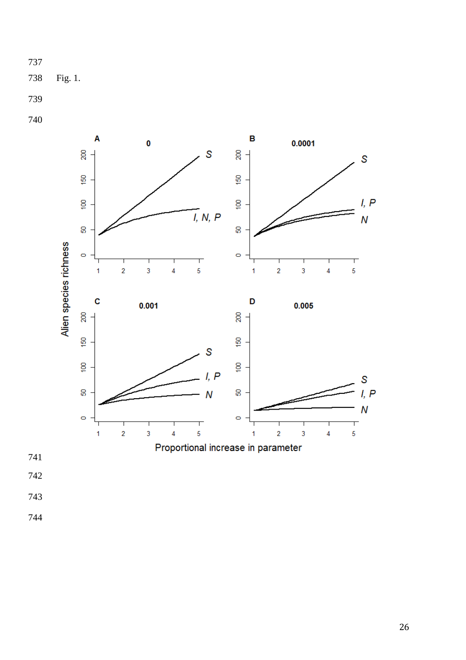Fig. 1.

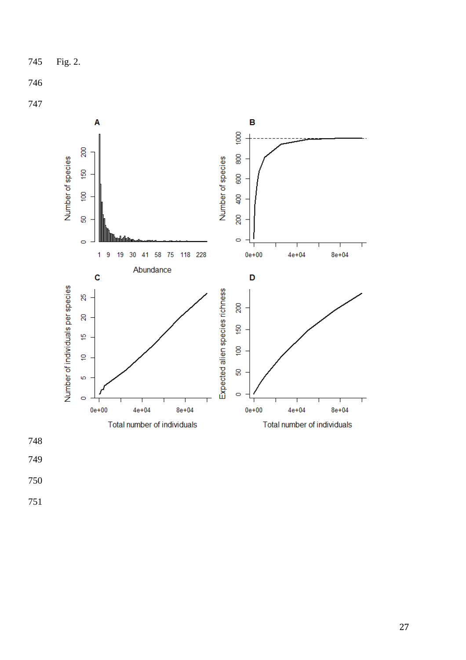Fig. 2.